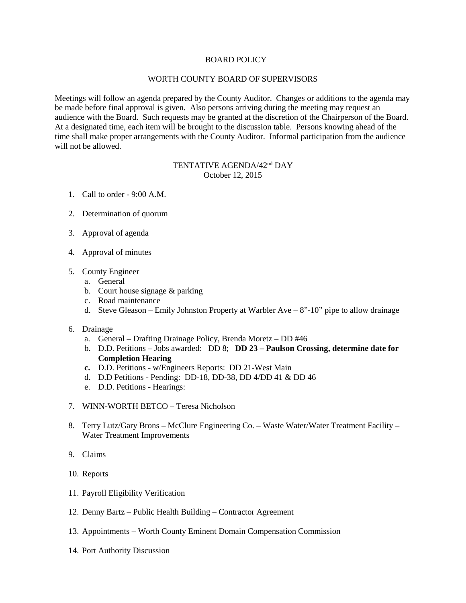## BOARD POLICY

## WORTH COUNTY BOARD OF SUPERVISORS

Meetings will follow an agenda prepared by the County Auditor. Changes or additions to the agenda may be made before final approval is given. Also persons arriving during the meeting may request an audience with the Board. Such requests may be granted at the discretion of the Chairperson of the Board. At a designated time, each item will be brought to the discussion table. Persons knowing ahead of the time shall make proper arrangements with the County Auditor. Informal participation from the audience will not be allowed.

## TENTATIVE AGENDA/42nd DAY October 12, 2015

- 1. Call to order 9:00 A.M.
- 2. Determination of quorum
- 3. Approval of agenda
- 4. Approval of minutes
- 5. County Engineer
	- a. General
	- b. Court house signage & parking
	- c. Road maintenance
	- d. Steve Gleason Emily Johnston Property at Warbler Ave 8"-10" pipe to allow drainage
- 6. Drainage
	- a. General Drafting Drainage Policy, Brenda Moretz DD #46
	- b. D.D. Petitions Jobs awarded: DD 8; **DD 23 – Paulson Crossing, determine date for Completion Hearing**
	- **c.** D.D. Petitions w/Engineers Reports: DD 21-West Main
	- d. D.D Petitions Pending: DD-18, DD-38, DD 4/DD 41 & DD 46
	- e. D.D. Petitions Hearings:
- 7. WINN-WORTH BETCO Teresa Nicholson
- 8. Terry Lutz/Gary Brons McClure Engineering Co. Waste Water/Water Treatment Facility Water Treatment Improvements
- 9. Claims
- 10. Reports
- 11. Payroll Eligibility Verification
- 12. Denny Bartz Public Health Building Contractor Agreement
- 13. Appointments Worth County Eminent Domain Compensation Commission
- 14. Port Authority Discussion